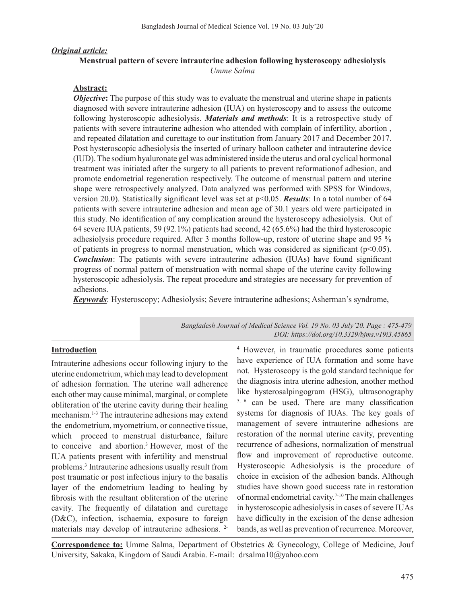# *Original article:*

# **Menstrual pattern of severe intrauterine adhesion following hysteroscopy adhesiolysis** *Umme Salma*

# **Abstract:**

*Objective*: The purpose of this study was to evaluate the menstrual and uterine shape in patients diagnosed with severe intrauterine adhesion (IUA) on hysteroscopy and to assess the outcome following hysteroscopic adhesiolysis. *Materials and methods*: It is a retrospective study of patients with severe intrauterine adhesion who attended with complain of infertility, abortion , and repeated dilatation and curettage to our institution from January 2017 and December 2017. Post hysteroscopic adhesiolysis the inserted of urinary balloon catheter and intrauterine device (IUD).The sodium hyaluronate gel was administered inside the uterus and oral cyclical hormonal treatment was initiated after the surgery to all patients to prevent reformationof adhesion, and promote endometrial regeneration respectively. The outcome of menstrual pattern and uterine shape were retrospectively analyzed. Data analyzed was performed with SPSS for Windows, version 20.0). Statistically significant level was set at p<0.05. *Results*: In a total number of 64 patients with severe intrauterine adhesion and mean age of 30.1 years old were participated in this study. No identification of any complication around the hysteroscopy adhesiolysis. Out of 64 severe IUA patients, 59 (92.1%) patients had second, 42 (65.6%) had the third hysteroscopic adhesiolysis procedure required. After 3 months follow-up, restore of uterine shape and 95 % of patients in progress to normal menstruation, which was considered as significant ( $p<0.05$ ). *Conclusion*: The patients with severe intrauterine adhesion (IUAs) have found significant progress of normal pattern of menstruation with normal shape of the uterine cavity following hysteroscopic adhesiolysis. The repeat procedure and strategies are necessary for prevention of adhesions.

*Keywords*: Hysteroscopy; Adhesiolysis; Severe intrauterine adhesions; Asherman's syndrome,

*Bangladesh Journal of Medical Science Vol. 19 No. 03 July'20. Page : 475-479 DOI: https://doi.org/10.3329/bjms.v19i3.45865*

### **Introduction**

Intrauterine adhesions occur following injury to the uterine endometrium, which may lead to development of adhesion formation. The uterine wall adherence each other may cause minimal, marginal, or complete obliteration of the uterine cavity during their healing mechanism.<sup>1-3</sup> The intrauterine adhesions may extend the endometrium, myometrium, or connective tissue, which proceed to menstrual disturbance, failure to conceive and abortion.3 However, most of the IUA patients present with infertility and menstrual problems.<sup>3</sup> Intrauterine adhesions usually result from post traumatic or post infectious injury to the basalis layer of the endometrium leading to healing by fibrosis with the resultant obliteration of the uterine cavity. The frequently of dilatation and curettage (D&C), infection, ischaemia, exposure to foreign materials may develop of intrauterine adhesions. 2<sup>4</sup> However, in traumatic procedures some patients have experience of IUA formation and some have not. Hysteroscopy is the gold standard technique for the diagnosis intra uterine adhesion, another method like hysterosalpingogram (HSG), ultrasonography 5, <sup>6</sup> can be used. There are many classification systems for diagnosis of IUAs. The key goals of management of severe intrauterine adhesions are restoration of the normal uterine cavity, preventing recurrence of adhesions, normalization of menstrual flow and improvement of reproductive outcome. Hysteroscopic Adhesiolysis is the procedure of choice in excision of the adhesion bands. Although studies have shown good success rate in restoration of normal endometrial cavity.<sup>7-10</sup> The main challenges in hysteroscopic adhesiolysis in cases of severe IUAs have difficulty in the excision of the dense adhesion bands, as well as prevention of recurrence. Moreover,

**Correspondence to:** Umme Salma, Department of Obstetrics & Gynecology, College of Medicine, Jouf University, Sakaka, Kingdom of Saudi Arabia. E-mail: drsalma10@yahoo.com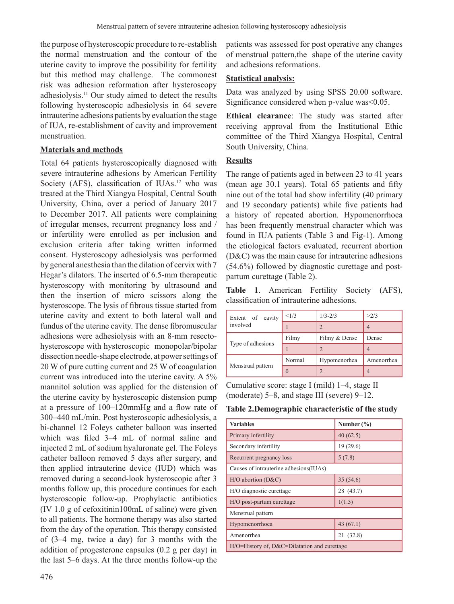the purpose of hysteroscopic procedure to re-establish the normal menstruation and the contour of the uterine cavity to improve the possibility for fertility but this method may challenge. The commonest risk was adhesion reformation after hysteroscopy adhesiolysis.11 Our study aimed to detect the results following hysteroscopic adhesiolysis in 64 severe intrauterine adhesions patients by evaluation the stage of IUA, re-establishment of cavity and improvement menstruation.

## **Materials and methods**

Total 64 patients hysteroscopically diagnosed with severe intrauterine adhesions by American Fertility Society (AFS), classification of IUAs.<sup>12</sup> who was treated at the Third Xiangya Hospital, Central South University, China, over a period of January 2017 to December 2017. All patients were complaining of irregular menses, recurrent pregnancy loss and / or infertility were enrolled as per inclusion and exclusion criteria after taking written informed consent. Hysteroscopy adhesiolysis was performed by general anesthesia than the dilation of cervix with 7 Hegar's dilators. The inserted of 6.5-mm therapeutic hysteroscopy with monitoring by ultrasound and then the insertion of micro scissors along the hysteroscope. The lysis of fibrous tissue started from uterine cavity and extent to both lateral wall and fundus of the uterine cavity. The dense fibromuscular adhesions were adhesiolysis with an 8-mm resectohysteroscope with hysteroscopic monopolar/bipolar dissection needle-shape electrode, at power settings of 20 W of pure cutting current and 25 W of coagulation current was introduced into the uterine cavity. A 5% mannitol solution was applied for the distension of the uterine cavity by hysteroscopic distension pump at a pressure of 100–120mmHg and a flow rate of 300–440 mL/min. Post hysteroscopic adhesiolysis, a bi-channel 12 Foleys catheter balloon was inserted which was filed 3–4 mL of normal saline and injected 2 mL of sodium hyaluronate gel. The Foleys catheter balloon removed 5 days after surgery, and then applied intrauterine device (IUD) which was removed during a second-look hysteroscopic after 3 months follow up, this procedure continues for each hysteroscopic follow-up. Prophylactic antibiotics (IV 1.0 g of cefoxitinin100mL of saline) were given to all patients. The hormone therapy was also started from the day of the operation. This therapy consisted of (3–4 mg, twice a day) for 3 months with the addition of progesterone capsules (0.2 g per day) in the last 5–6 days. At the three months follow-up the

476

patients was assessed for post operative any changes of menstrual pattern,the shape of the uterine cavity and adhesions reformations.

## **Statistical analysis:**

Data was analyzed by using SPSS 20.00 software. Significance considered when p-value was<0.05.

**Ethical clearance**: The study was started after receiving approval from the Institutional Ethic committee of the Third Xiangya Hospital, Central South University, China.

# **Results**

The range of patients aged in between 23 to 41 years (mean age 30.1 years). Total 65 patients and fifty nine out of the total had show infertility (40 primary and 19 secondary patients) while five patients had a history of repeated abortion. Hypomenorrhoea has been frequently menstrual character which was found in IUA patients (Table 3 and Fig-1). Among the etiological factors evaluated, recurrent abortion (D&C) was the main cause for intrauterine adhesions (54.6%) followed by diagnostic curettage and postpartum curettage (Table 2).

**Table 1**. American Fertility Society (AFS), classification of intrauterine adhesions.

| Extent of cavity  | <1/3   | $1/3 - 2/3$   | >2/3       |
|-------------------|--------|---------------|------------|
| involved          |        |               |            |
|                   | Filmy  | Filmy & Dense | Dense      |
| Type of adhesions |        | $\mathcal{D}$ |            |
|                   | Normal | Hypomenorhea  | Amenorrhea |
| Menstrual pattern |        | 7             |            |

Cumulative score: stage I (mild) 1–4, stage II (moderate) 5–8, and stage III (severe) 9–12.

**Table 2.Demographic characteristic of the study**

| <b>Variables</b>                                       | Number $(\% )$ |  |  |  |
|--------------------------------------------------------|----------------|--|--|--|
| Primary infertility                                    | 40(62.5)       |  |  |  |
| Secondary infertility                                  | 19(29.6)       |  |  |  |
| Recurrent pregnancy loss                               | 5(7.8)         |  |  |  |
| Causes of intrauterine adhesions (IUAs)                |                |  |  |  |
| $H/O$ abortion $(D&C)$                                 | 35(54.6)       |  |  |  |
| H/O diagnostic curettage                               | 28 (43.7)      |  |  |  |
| H/O post-partum curettage                              | 1(1.5)         |  |  |  |
| Menstrual pattern                                      |                |  |  |  |
| Hypomenorrhoea                                         | 43(67.1)       |  |  |  |
| Amenorrhea                                             | 21 (32.8)      |  |  |  |
| $H/O = H$ istory of, $D&C = D$ ilatation and curettage |                |  |  |  |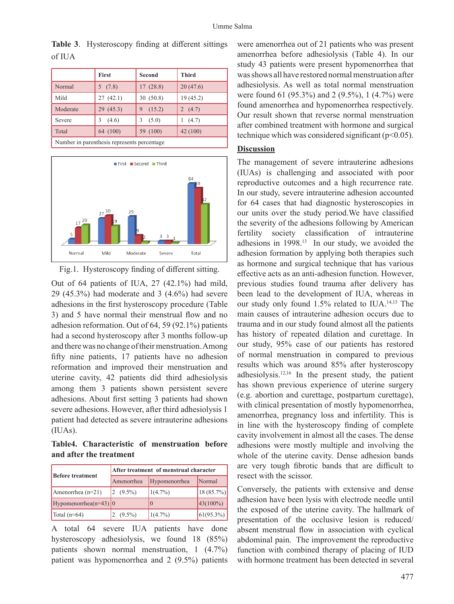|                                             | First      | Second      | <b>Third</b> |  |  |
|---------------------------------------------|------------|-------------|--------------|--|--|
| Normal                                      | 5(7.8)     | 17(28.8)    | 20(47.6)     |  |  |
| Mild                                        | 27(42.1)   | 30(50.8)    | 19(45.2)     |  |  |
| Moderate                                    | 29(45.3)   | (15.2)<br>9 | 2 $(4.7)$    |  |  |
| Severe                                      | (4.6)<br>3 | (5.0)<br>3  | (4.7)        |  |  |
| Total                                       | 64 (100)   | 59 (100)    | 42 (100)     |  |  |
| Number in parenthesis represents percentage |            |             |              |  |  |

**Table 3**. Hysteroscopy finding at different sittings of IUA





Out of 64 patients of IUA, 27 (42.1%) had mild, 29 (45.3%) had moderate and 3 (4.6%) had severe adhesions in the first hysteroscopy procedure (Table 3) and 5 have normal their menstrual flow and no adhesion reformation. Out of 64, 59 (92.1%) patients had a second hysteroscopy after 3 months follow-up and there was no change of their menstruation. Among fifty nine patients, 17 patients have no adhesion reformation and improved their menstruation and uterine cavity, 42 patients did third adhesiolysis among them 3 patients shown persistent severe adhesions. About first setting 3 patients had shown severe adhesions. However, after third adhesiolysis 1 patient had detected as severe intrauterine adhesions (IUAs).

**Table4. Characteristic of menstruation before and after the treatment**

|                           | After treatment of menstrual character |               |                |  |
|---------------------------|----------------------------------------|---------------|----------------|--|
| <b>Before treatment</b>   | Amenorrhea                             | Hypomenorrhea | Normal         |  |
| Amenorrhea $(n=21)$       | $(9.5\%)$                              | $1(4.7\%)$    | 18(85.7%)      |  |
| Hypomenorrhea( $n=43$ ) 0 |                                        |               | $43(100\%)$    |  |
| Total $(n=64)$            | $(9.5\%)$                              | (1(4.7%)      | $ 61(95.3\%) $ |  |

A total 64 severe IUA patients have done hysteroscopy adhesiolysis, we found 18 (85%) patients shown normal menstruation, 1 (4.7%) patient was hypomenorrhea and 2 (9.5%) patients

were amenorrhea out of 21 patients who was present amenorrhea before adhesiolysis (Table 4). In our study 43 patients were present hypomenorrhea that was shows all have restored normal menstruation after adhesiolysis. As well as total normal menstruation were found 61 (95.3%) and 2 (9.5%), 1 (4.7%) were found amenorrhea and hypomenorrhea respectively. Our result shown that reverse normal menstruation after combined treatment with hormone and surgical technique which was considered significant ( $p<0.05$ ).

#### **Discussion**

The management of severe intrauterine adhesions (IUAs) is challenging and associated with poor reproductive outcomes and a high recurrence rate. In our study, severe intrauterine adhesion accounted for 64 cases that had diagnostic hysteroscopies in our units over the study period.We have classified the severity of the adhesions following by American fertility society classification of intrauterine adhesions in 1998.<sup>13</sup> In our study, we avoided the adhesion formation by applying both therapies such as hormone and surgical technique that has various effective acts as an anti-adhesion function. However, previous studies found trauma after delivery has been lead to the development of IUA, whereas in our study only found 1.5% related to IUA.14,15 The main causes of intrauterine adhesion occurs due to trauma and in our study found almost all the patients has history of repeated dilation and curettage. In our study, 95% case of our patients has restored of normal menstruation in compared to previous results which was around 85% after hysteroscopy adhesiolysis.12,16 In the present study, the patient has shown previous experience of uterine surgery (e.g. abortion and curettage, postpartum curettage), with clinical presentation of mostly hypomenorrhea, amenorrhea, pregnancy loss and infertility. This is in line with the hysteroscopy finding of complete cavity involvement in almost all the cases. The dense adhesions were mostly multiple and involving the whole of the uterine cavity. Dense adhesion bands are very tough fibrotic bands that are difficult to resect with the scissor.

Conversely, the patients with extensive and dense adhesion have been lysis with electrode needle until the exposed of the uterine cavity. The hallmark of presentation of the occlusive lesion is reduced/ absent menstrual flow in association with cyclical abdominal pain. The improvement the reproductive function with combined therapy of placing of IUD with hormone treatment has been detected in several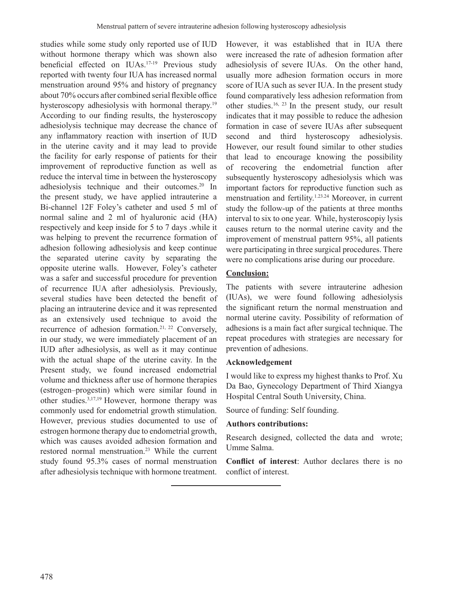studies while some study only reported use of IUD without hormone therapy which was shown also beneficial effected on IUAs.17-19 Previous study reported with twenty four IUA has increased normal menstruation around 95% and history of pregnancy about 70% occurs after combined serial flexible office hysteroscopy adhesiolysis with hormonal therapy.<sup>19</sup> According to our finding results, the hysteroscopy adhesiolysis technique may decrease the chance of any inflammatory reaction with insertion of IUD in the uterine cavity and it may lead to provide the facility for early response of patients for their improvement of reproductive function as well as reduce the interval time in between the hysteroscopy adhesiolysis technique and their outcomes.20 In the present study, we have applied intrauterine a Bi-channel 12F Foley's catheter and used 5 ml of normal saline and 2 ml of hyaluronic acid (HA) respectively and keep inside for 5 to 7 days .while it was helping to prevent the recurrence formation of adhesion following adhesiolysis and keep continue the separated uterine cavity by separating the opposite uterine walls. However, Foley's catheter was a safer and successful procedure for prevention of recurrence IUA after adhesiolysis. Previously, several studies have been detected the benefit of placing an intrauterine device and it was represented as an extensively used technique to avoid the recurrence of adhesion formation.<sup>21, 22</sup> Conversely, in our study, we were immediately placement of an IUD after adhesiolysis, as well as it may continue with the actual shape of the uterine cavity. In the Present study, we found increased endometrial volume and thickness after use of hormone therapies (estrogen–progestin) which were similar found in other studies.3,17,19 However, hormone therapy was commonly used for endometrial growth stimulation. However, previous studies documented to use of estrogen hormone therapy due to endometrial growth, which was causes avoided adhesion formation and restored normal menstruation.23 While the current study found 95.3% cases of normal menstruation after adhesiolysis technique with hormone treatment. However, it was established that in IUA there were increased the rate of adhesion formation after adhesiolysis of severe IUAs. On the other hand, usually more adhesion formation occurs in more score of IUA such as sever IUA. In the present study found comparatively less adhesion reformation from other studies.16, <sup>23</sup> In the present study, our result indicates that it may possible to reduce the adhesion formation in case of severe IUAs after subsequent second and third hysteroscopy adhesiolysis. However, our result found similar to other studies that lead to encourage knowing the possibility of recovering the endometrial function after subsequently hysteroscopy adhesiolysis which was important factors for reproductive function such as menstruation and fertility.1.23.24 Moreover, in current study the follow-up of the patients at three months interval to six to one year. While, hysteroscopiy lysis causes return to the normal uterine cavity and the improvement of menstrual pattern 95%, all patients were participating in three surgical procedures. There were no complications arise during our procedure.

### **Conclusion:**

The patients with severe intrauterine adhesion (IUAs), we were found following adhesiolysis the significant return the normal menstruation and normal uterine cavity. Possibility of reformation of adhesions is a main fact after surgical technique. The repeat procedures with strategies are necessary for prevention of adhesions.

#### **Acknowledgement**

I would like to express my highest thanks to Prof. Xu Da Bao, Gynecology Department of Third Xiangya Hospital Central South University, China.

Source of funding: Self founding.

#### **Authors contributions:**

Research designed, collected the data and wrote; Umme Salma.

**Conflict of interest**: Author declares there is no conflict of interest.